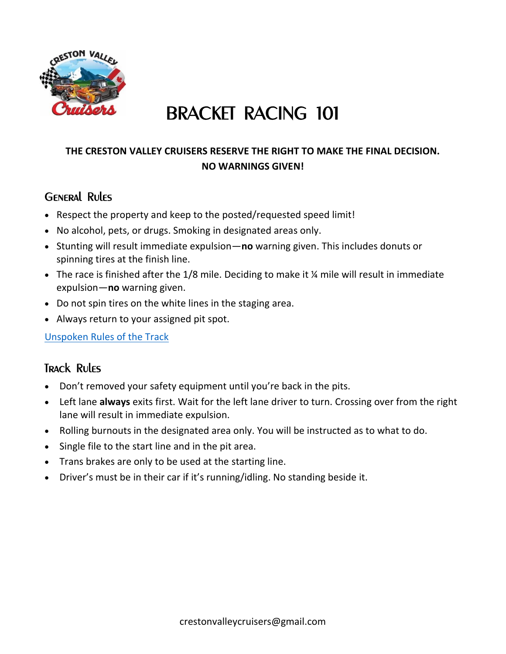

# BRACKET RACING 101

#### **THE CRESTON VALLEY CRUISERS RESERVE THE RIGHT TO MAKE THE FINAL DECISION. NO WARNINGS GIVEN!**

### General Rules

- Respect the property and keep to the posted/requested speed limit!
- No alcohol, pets, or drugs. Smoking in designated areas only.
- Stunting will result immediate expulsion—**no** warning given. This includes donuts or spinning tires at the finish line.
- The race is finished after the 1/8 mile. Deciding to make it 1/4 mile will result in immediate expulsion—**no** warning given.
- Do not spin tires on the white lines in the staging area.
- Always return to your assigned pit spot.

[Unspoken Rules of the Track](file:///C:/Users/Debby/Documents/CRESTON%20VALLEY%20CRUISERS/Drag%20Races/%20https/www.youtube.com/watch%3fv=tR5wWZd1Wmc)

#### Track Rules

- Don't removed your safety equipment until you're back in the pits.
- Left lane **always** exits first. Wait for the left lane driver to turn. Crossing over from the right lane will result in immediate expulsion.
- Rolling burnouts in the designated area only. You will be instructed as to what to do.
- Single file to the start line and in the pit area.
- Trans brakes are only to be used at the starting line.
- Driver's must be in their car if it's running/idling. No standing beside it.